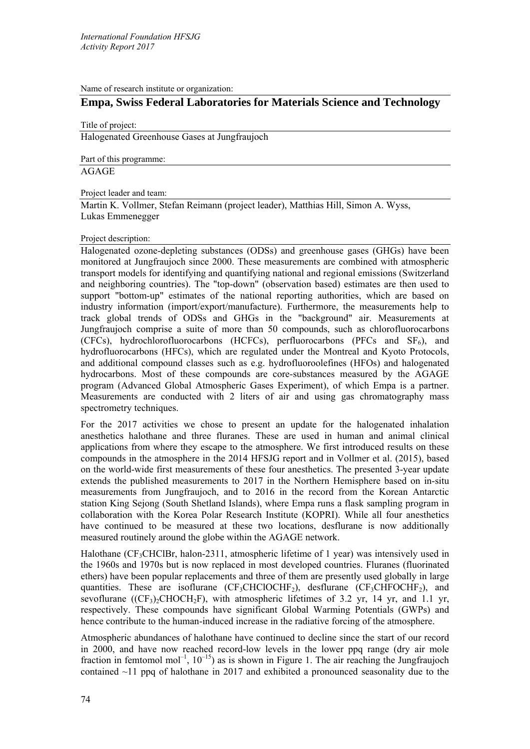Name of research institute or organization:

# **Empa, Swiss Federal Laboratories for Materials Science and Technology**

Title of project:

Halogenated Greenhouse Gases at Jungfraujoch

Part of this programme:

AGAGE

Project leader and team:

Martin K. Vollmer, Stefan Reimann (project leader), Matthias Hill, Simon A. Wyss, Lukas Emmenegger

# Project description:

Halogenated ozone-depleting substances (ODSs) and greenhouse gases (GHGs) have been monitored at Jungfraujoch since 2000. These measurements are combined with atmospheric transport models for identifying and quantifying national and regional emissions (Switzerland and neighboring countries). The "top-down" (observation based) estimates are then used to support "bottom-up" estimates of the national reporting authorities, which are based on industry information (import/export/manufacture). Furthermore, the measurements help to track global trends of ODSs and GHGs in the "background" air. Measurements at Jungfraujoch comprise a suite of more than 50 compounds, such as chlorofluorocarbons (CFCs), hydrochlorofluorocarbons (HCFCs), perfluorocarbons (PFCs and  $SF<sub>6</sub>$ ), and hydrofluorocarbons (HFCs), which are regulated under the Montreal and Kyoto Protocols, and additional compound classes such as e.g. hydrofluoroolefines (HFOs) and halogenated hydrocarbons. Most of these compounds are core-substances measured by the AGAGE program (Advanced Global Atmospheric Gases Experiment), of which Empa is a partner. Measurements are conducted with 2 liters of air and using gas chromatography mass spectrometry techniques.

For the 2017 activities we chose to present an update for the halogenated inhalation anesthetics halothane and three fluranes. These are used in human and animal clinical applications from where they escape to the atmosphere. We first introduced results on these compounds in the atmosphere in the 2014 HFSJG report and in Vollmer et al. (2015), based on the world-wide first measurements of these four anesthetics. The presented 3-year update extends the published measurements to 2017 in the Northern Hemisphere based on in-situ measurements from Jungfraujoch, and to 2016 in the record from the Korean Antarctic station King Sejong (South Shetland Islands), where Empa runs a flask sampling program in collaboration with the Korea Polar Research Institute (KOPRI). While all four anesthetics have continued to be measured at these two locations, desflurane is now additionally measured routinely around the globe within the AGAGE network.

Halothane (CF<sub>3</sub>CHClBr, halon-2311, atmospheric lifetime of 1 year) was intensively used in the 1960s and 1970s but is now replaced in most developed countries. Fluranes (fluorinated ethers) have been popular replacements and three of them are presently used globally in large quantities. These are isoflurane ( $CF_3CHCIOCHF_2$ ), desflurane ( $CF_3CHFOCHF_2$ ), and sevoflurane  $((CF_3)$ . CHOCH<sub>2</sub>F), with atmospheric lifetimes of 3.2 yr, 14 yr, and 1.1 yr, respectively. These compounds have significant Global Warming Potentials (GWPs) and hence contribute to the human-induced increase in the radiative forcing of the atmosphere.

Atmospheric abundances of halothane have continued to decline since the start of our record in 2000, and have now reached record-low levels in the lower ppq range (dry air mole fraction in femtomol mol<sup>-1</sup>,  $10^{-15}$ ) as is shown in Figure 1. The air reaching the Jungfraujoch contained ~11 ppq of halothane in 2017 and exhibited a pronounced seasonality due to the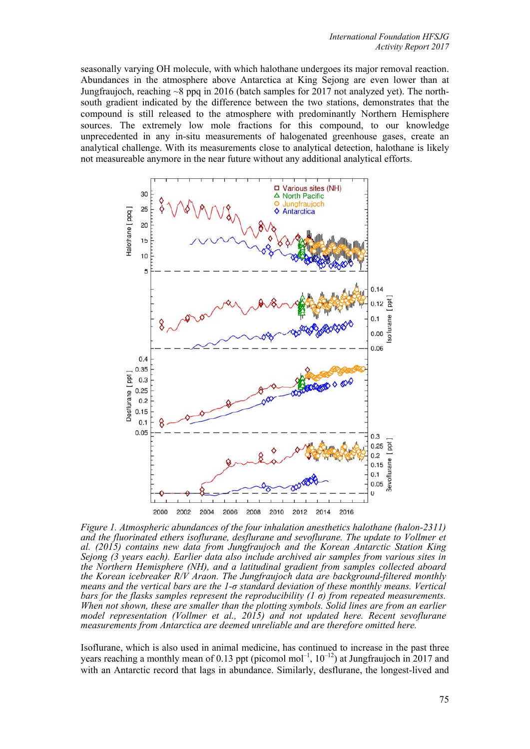seasonally varying OH molecule, with which halothane undergoes its major removal reaction. Abundances in the atmosphere above Antarctica at King Sejong are even lower than at Jungfraujoch, reaching ~8 ppq in 2016 (batch samples for 2017 not analyzed yet). The northsouth gradient indicated by the difference between the two stations, demonstrates that the compound is still released to the atmosphere with predominantly Northern Hemisphere sources. The extremely low mole fractions for this compound, to our knowledge unprecedented in any in-situ measurements of halogenated greenhouse gases, create an analytical challenge. With its measurements close to analytical detection, halothane is likely not measureable anymore in the near future without any additional analytical efforts.



*Figure 1. Atmospheric abundances of the four inhalation anesthetics halothane (halon-2311)*  and the fluorinated ethers isoflurane, desflurane and sevoflurane. The update to Vollmer et *al. (2015) contains new data from Jungfraujoch and the Korean Antarctic Station King Sejong (3 years each). Earlier data also include archived air samples from various sites in the Northern Hemisphere (NH), and a latitudinal gradient from samples collected aboard the Korean icebreaker R/V Araon. The Jungfraujoch data are background-filtered monthly means and the vertical bars are the 1-σ standard deviation of these monthly means. Vertical bars for the flasks samples represent the reproducibility (1 σ) from repeated measurements. When not shown, these are smaller than the plotting symbols. Solid lines are from an earlier model representation (Vollmer et al., 2015) and not updated here. Recent sevoflurane measurements from Antarctica are deemed unreliable and are therefore omitted here.*

Isoflurane, which is also used in animal medicine, has continued to increase in the past three years reaching a monthly mean of 0.13 ppt (picomol mol<sup>-1</sup>,  $10^{-12}$ ) at Jungfraujoch in 2017 and with an Antarctic record that lags in abundance. Similarly, desflurane, the longest-lived and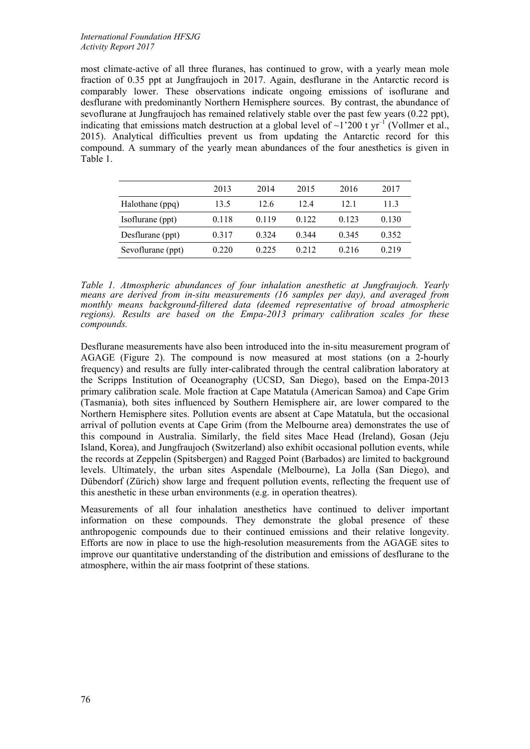## *International Foundation HFSJG Activity Report 2017*

most climate-active of all three fluranes, has continued to grow, with a yearly mean mole fraction of 0.35 ppt at Jungfraujoch in 2017. Again, desflurane in the Antarctic record is comparably lower. These observations indicate ongoing emissions of isoflurane and desflurane with predominantly Northern Hemisphere sources. By contrast, the abundance of sevoflurane at Jungfraujoch has remained relatively stable over the past few years (0.22 ppt), indicating that emissions match destruction at a global level of  $\sim$ 1'200 t yr<sup>-1</sup> (Vollmer et al., 2015). Analytical difficulties prevent us from updating the Antarctic record for this compound. A summary of the yearly mean abundances of the four anesthetics is given in Table 1.

|                   | 2013  | 2014    | 2015    | 2016  | 2017  |
|-------------------|-------|---------|---------|-------|-------|
| Halothane (ppq)   | 13.5  | 12.6    | 124     | 121   | 113   |
| Isoflurane (ppt)  | 0.118 | 0.119   | 0 1 2 2 | 0.123 | 0.130 |
| Desflurane (ppt)  | 0.317 | 0 3 2 4 | 0.344   | 0.345 | 0.352 |
| Sevoflurane (ppt) | 0.220 | 0.225   | 0.212   | 0.216 | 0.219 |
|                   |       |         |         |       |       |

*Table 1. Atmospheric abundances of four inhalation anesthetic at Jungfraujoch. Yearly means are derived from in-situ measurements (16 samples per day), and averaged from monthly means background-filtered data (deemed representative of broad atmospheric regions). Results are based on the Empa-2013 primary calibration scales for these compounds.* 

Desflurane measurements have also been introduced into the in-situ measurement program of AGAGE (Figure 2). The compound is now measured at most stations (on a 2-hourly frequency) and results are fully inter-calibrated through the central calibration laboratory at the Scripps Institution of Oceanography (UCSD, San Diego), based on the Empa-2013 primary calibration scale. Mole fraction at Cape Matatula (American Samoa) and Cape Grim (Tasmania), both sites influenced by Southern Hemisphere air, are lower compared to the Northern Hemisphere sites. Pollution events are absent at Cape Matatula, but the occasional arrival of pollution events at Cape Grim (from the Melbourne area) demonstrates the use of this compound in Australia. Similarly, the field sites Mace Head (Ireland), Gosan (Jeju Island, Korea), and Jungfraujoch (Switzerland) also exhibit occasional pollution events, while the records at Zeppelin (Spitsbergen) and Ragged Point (Barbados) are limited to background levels. Ultimately, the urban sites Aspendale (Melbourne), La Jolla (San Diego), and Dübendorf (Zürich) show large and frequent pollution events, reflecting the frequent use of this anesthetic in these urban environments (e.g. in operation theatres).

Measurements of all four inhalation anesthetics have continued to deliver important information on these compounds. They demonstrate the global presence of these anthropogenic compounds due to their continued emissions and their relative longevity. Efforts are now in place to use the high-resolution measurements from the AGAGE sites to improve our quantitative understanding of the distribution and emissions of desflurane to the atmosphere, within the air mass footprint of these stations.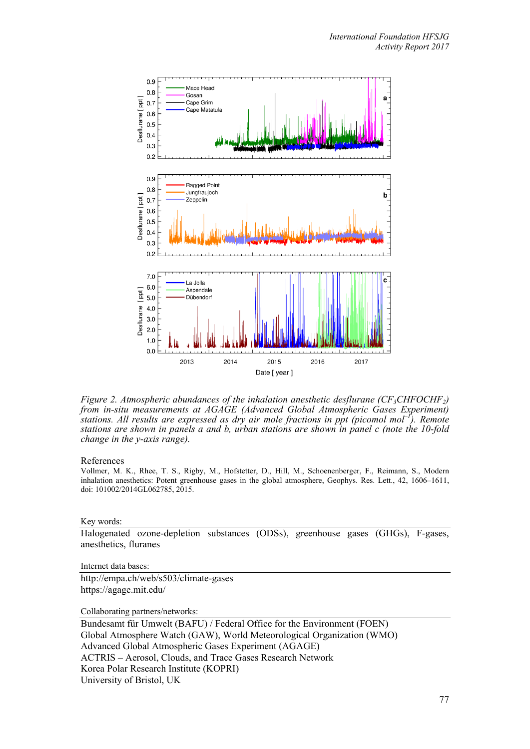

*Figure 2. Atmospheric abundances of the inhalation anesthetic desflurane (CF<sub>3</sub>CHFOCHF<sub>2</sub>) from in-situ measurements at AGAGE (Advanced Global Atmospheric Gases Experiment) stations. All results are expressed as dry air mole fractions in ppt (picomol mol–1). Remote stations are shown in panels a and b, urban stations are shown in panel c (note the 10-fold change in the y-axis range).*

### References

Vollmer, M. K., Rhee, T. S., Rigby, M., Hofstetter, D., Hill, M., Schoenenberger, F., Reimann, S., Modern inhalation anesthetics: Potent greenhouse gases in the global atmosphere, Geophys. Res. Lett., 42, 1606–1611, doi: 101002/2014GL062785, 2015.

### Key words:

Halogenated ozone-depletion substances (ODSs), greenhouse gases (GHGs), F-gases, anesthetics, fluranes

Internet data bases:

http://empa.ch/web/s503/climate-gases https://agage.mit.edu/

Collaborating partners/networks:

Bundesamt für Umwelt (BAFU) / Federal Office for the Environment (FOEN) Global Atmosphere Watch (GAW), World Meteorological Organization (WMO) Advanced Global Atmospheric Gases Experiment (AGAGE) ACTRIS – Aerosol, Clouds, and Trace Gases Research Network Korea Polar Research Institute (KOPRI) University of Bristol, UK